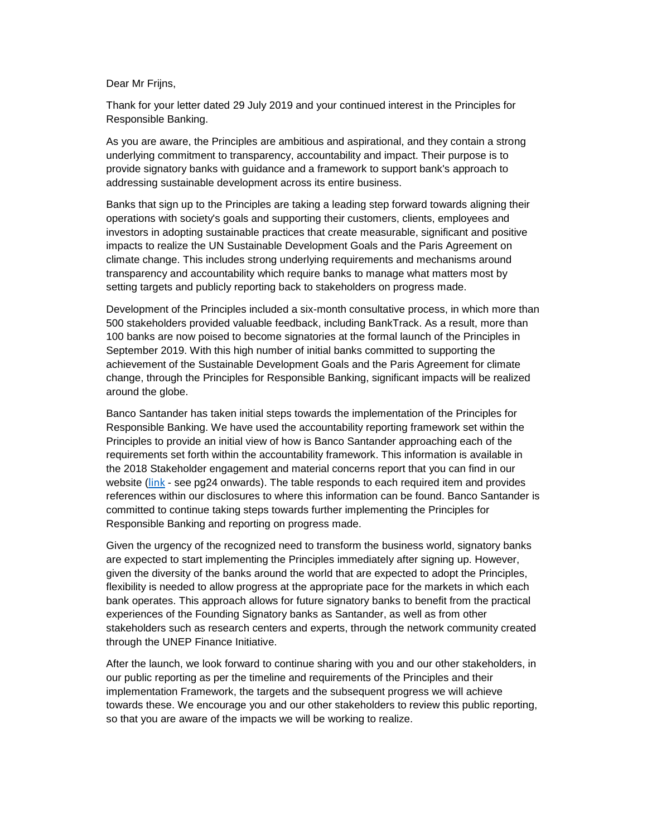Dear Mr Friins.

Thank for your letter dated 29 July 2019 and your continued interest in the Principles for Responsible Banking.

As you are aware, the Principles are ambitious and aspirational, and they contain a strong underlying commitment to transparency, accountability and impact. Their purpose is to provide signatory banks with guidance and a framework to support bank's approach to addressing sustainable development across its entire business.

Banks that sign up to the Principles are taking a leading step forward towards aligning their operations with society's goals and supporting their customers, clients, employees and investors in adopting sustainable practices that create measurable, significant and positive impacts to realize the UN Sustainable Development Goals and the Paris Agreement on climate change. This includes strong underlying requirements and mechanisms around transparency and accountability which require banks to manage what matters most by setting targets and publicly reporting back to stakeholders on progress made.

Development of the Principles included a six-month consultative process, in which more than 500 stakeholders provided valuable feedback, including BankTrack. As a result, more than 100 banks are now poised to become signatories at the formal launch of the Principles in September 2019. With this high number of initial banks committed to supporting the achievement of the Sustainable Development Goals and the Paris Agreement for climate change, through the Principles for Responsible Banking, significant impacts will be realized around the globe.

Banco Santander has taken initial steps towards the implementation of the Principles for Responsible Banking. We have used the accountability reporting framework set within the Principles to provide an initial view of how is Banco Santander approaching each of the requirements set forth within the accountability framework. This information is available in the 2018 Stakeholder engagement and material concerns report that you can find in our website ([link](https://www.santander.com/csgs/Satellite/CFWCSancomQP01/en_GB/pdf/Stakeholder_engagement_and_material_concerns.pdf) - see pg24 onwards). The table responds to each required item and provides references within our disclosures to where this information can be found. Banco Santander is committed to continue taking steps towards further implementing the Principles for Responsible Banking and reporting on progress made.

Given the urgency of the recognized need to transform the business world, signatory banks are expected to start implementing the Principles immediately after signing up. However, given the diversity of the banks around the world that are expected to adopt the Principles, flexibility is needed to allow progress at the appropriate pace for the markets in which each bank operates. This approach allows for future signatory banks to benefit from the practical experiences of the Founding Signatory banks as Santander, as well as from other stakeholders such as research centers and experts, through the network community created through the UNEP Finance Initiative.

After the launch, we look forward to continue sharing with you and our other stakeholders, in our public reporting as per the timeline and requirements of the Principles and their implementation Framework, the targets and the subsequent progress we will achieve towards these. We encourage you and our other stakeholders to review this public reporting, so that you are aware of the impacts we will be working to realize.